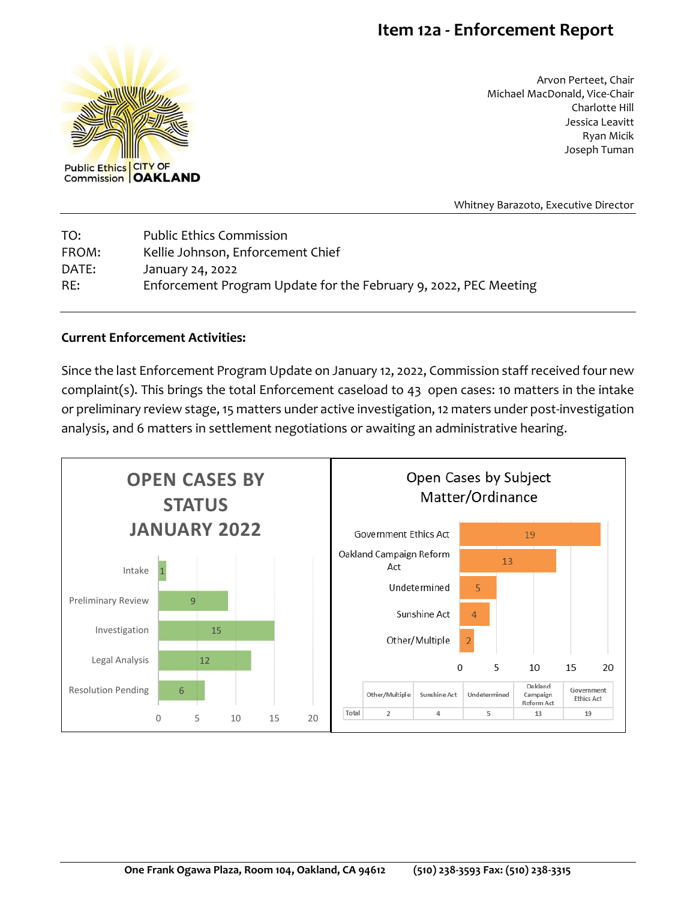## **Item 12a - Enforcement Report**



Arvon Perteet, Chair Michael MacDonald, Vice-Chair Charlotte Hill Jessica Leavitt Ryan Micik Joseph Tuman

Whitney Barazoto, Executive Director

| TO:   | <b>Public Ethics Commission</b>                                  |
|-------|------------------------------------------------------------------|
| FROM: | Kellie Johnson, Enforcement Chief                                |
| DATE: | January 24, 2022                                                 |
| RE:   | Enforcement Program Update for the February 9, 2022, PEC Meeting |

## **Current Enforcement Activities:**

Since the last Enforcement Program Update on January 12, 2022, Commission staff received four new complaint(s). This brings the total Enforcement caseload to 43 open cases: 10 matters in the intake or preliminary review stage, 15 matters under active investigation, 12 maters under post-investigation analysis, and 6 matters in settlement negotiations or awaiting an administrative hearing.